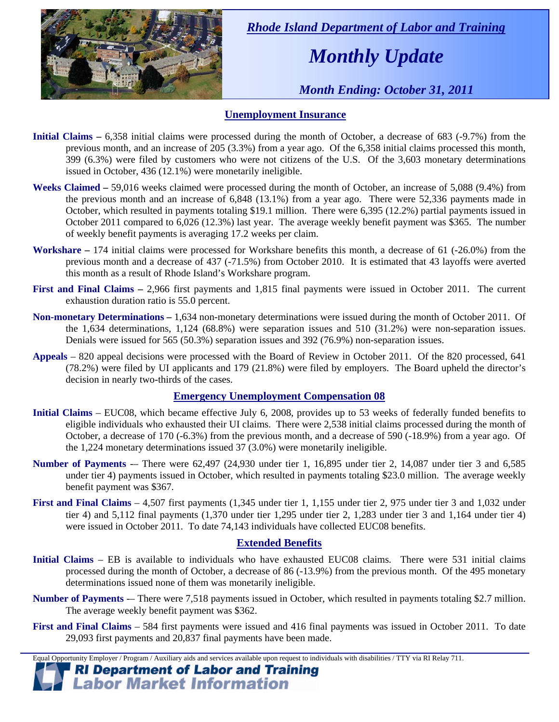

 *Rhode Island Department of Labor and Training* 

# *Monthly Update*

 *Month Ending: October 31, 2011* 

### **Unemployment Insurance**

- **Initial Claims 6,358** initial claims were processed during the month of October, a decrease of 683 (-9.7%) from the previous month, and an increase of 205 (3.3%) from a year ago. Of the 6,358 initial claims processed this month, 399 (6.3%) were filed by customers who were not citizens of the U.S. Of the 3,603 monetary determinations issued in October, 436 (12.1%) were monetarily ineligible.
- **Weeks Claimed** 59,016 weeks claimed were processed during the month of October, an increase of 5,088 (9.4%) from the previous month and an increase of 6,848 (13.1%) from a year ago. There were 52,336 payments made in October, which resulted in payments totaling \$19.1 million. There were 6,395 (12.2%) partial payments issued in October 2011 compared to 6,026 (12.3%) last year. The average weekly benefit payment was \$365. The number of weekly benefit payments is averaging 17.2 weeks per claim.
- **Workshare –** 174 initial claims were processed for Workshare benefits this month, a decrease of 61 (-26.0%) from the previous month and a decrease of 437 (-71.5%) from October 2010. It is estimated that 43 layoffs were averted this month as a result of Rhode Island's Workshare program.
- **First and Final Claims –** 2,966 first payments and 1,815 final payments were issued in October 2011. The current exhaustion duration ratio is 55.0 percent.
- **Non-monetary Determinations –** 1,634 non-monetary determinations were issued during the month of October 2011. Of the 1,634 determinations, 1,124 (68.8%) were separation issues and 510 (31.2%) were non-separation issues. Denials were issued for 565 (50.3%) separation issues and 392 (76.9%) non-separation issues.
- **Appeals** 820 appeal decisions were processed with the Board of Review in October 2011. Of the 820 processed, 641 (78.2%) were filed by UI applicants and 179 (21.8%) were filed by employers. The Board upheld the director's decision in nearly two-thirds of the cases.

### **Emergency Unemployment Compensation 08**

- **Initial Claims**  EUC08, which became effective July 6, 2008, provides up to 53 weeks of federally funded benefits to eligible individuals who exhausted their UI claims. There were 2,538 initial claims processed during the month of October, a decrease of 170 (-6.3%) from the previous month, and a decrease of 590 (-18.9%) from a year ago. Of the 1,224 monetary determinations issued  $37(3.0%)$  were monetarily ineligible.
- **Number of Payments** -– There were 62,497 (24,930 under tier 1, 16,895 under tier 2, 14,087 under tier 3 and 6,585 under tier 4) payments issued in October, which resulted in payments totaling \$23.0 million. The average weekly benefit payment was \$367.
- **First and Final Claims**  4,507 first payments (1,345 under tier 1, 1,155 under tier 2, 975 under tier 3 and 1,032 under tier 4) and 5,112 final payments (1,370 under tier 1,295 under tier 2, 1,283 under tier 3 and 1,164 under tier 4) were issued in October 2011. To date 74,143 individuals have collected EUC08 benefits.

### **Extended Benefits**

- **Initial Claims**  EB is available to individuals who have exhausted EUC08 claims. There were 531 initial claims processed during the month of October, a decrease of 86 (-13.9%) from the previous month. Of the 495 monetary determinations issued none of them was monetarily ineligible.
- **Number of Payments** -– There were 7,518 payments issued in October, which resulted in payments totaling \$2.7 million. The average weekly benefit payment was \$362.
- **First and Final Claims**  584 first payments were issued and 416 final payments was issued in October 2011. To date 29,093 first payments and 20,837 final payments have been made.

Equal Opportunity Employer / Program / Auxiliary aids and services available upon request to individuals with disabilities / TTY via RI Relay 711.

**RI Department of Labor and Training Labor Market Information**